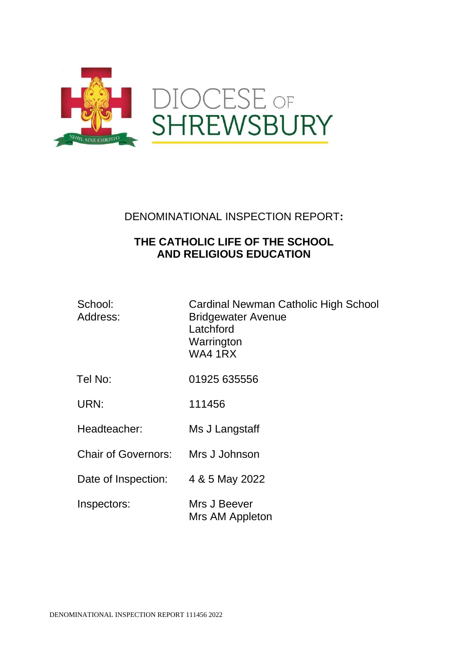

DENOMINATIONAL INSPECTION REPORT**:**

# **THE CATHOLIC LIFE OF THE SCHOOL AND RELIGIOUS EDUCATION**

| School:  |  |
|----------|--|
| Address: |  |

Cardinal Newman Catholic High School **Bridgewater Avenue Latchford** Warrington WA4 1RX

- Tel No: 01925 635556
- URN: 111456
- Headteacher: Ms J Langstaff
- Chair of Governors: Mrs J Johnson
- Date of Inspection: 4 & 5 May 2022
- Inspectors: Mrs J Beever Mrs AM Appleton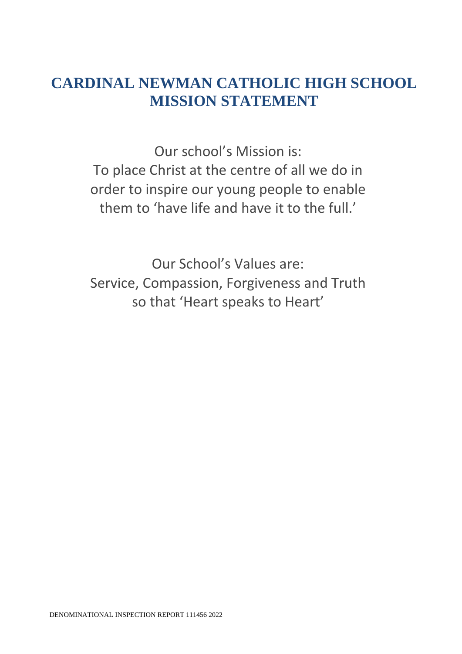# **CARDINAL NEWMAN CATHOLIC HIGH SCHOOL MISSION STATEMENT**

Our school's Mission is: To place Christ at the centre of all we do in order to inspire our young people to enable them to 'have life and have it to the full.'

Our School's Values are: Service, Compassion, Forgiveness and Truth so that 'Heart speaks to Heart'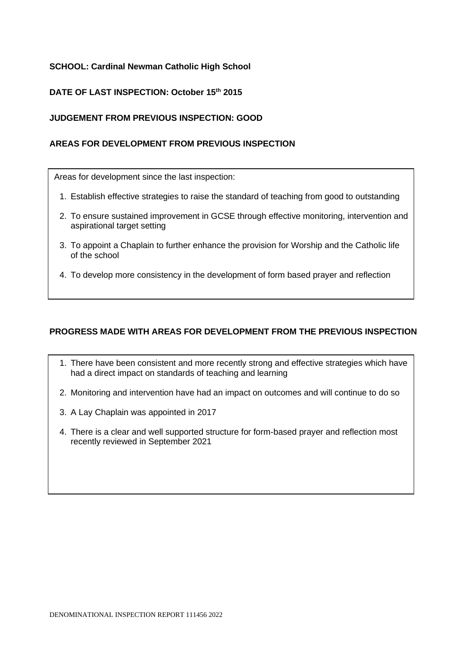# **SCHOOL: Cardinal Newman Catholic High School**

# **DATE OF LAST INSPECTION: October 15th 2015**

#### **JUDGEMENT FROM PREVIOUS INSPECTION: GOOD**

#### **AREAS FOR DEVELOPMENT FROM PREVIOUS INSPECTION**

Areas for development since the last inspection:

- 1. Establish effective strategies to raise the standard of teaching from good to outstanding
- 2. To ensure sustained improvement in GCSE through effective monitoring, intervention and aspirational target setting
- 3. To appoint a Chaplain to further enhance the provision for Worship and the Catholic life of the school
- 4. To develop more consistency in the development of form based prayer and reflection

#### **PROGRESS MADE WITH AREAS FOR DEVELOPMENT FROM THE PREVIOUS INSPECTION**

- 1. There have been consistent and more recently strong and effective strategies which have had a direct impact on standards of teaching and learning
- 2. Monitoring and intervention have had an impact on outcomes and will continue to do so
- 3. A Lay Chaplain was appointed in 2017
- 4. There is a clear and well supported structure for form-based prayer and reflection most recently reviewed in September 2021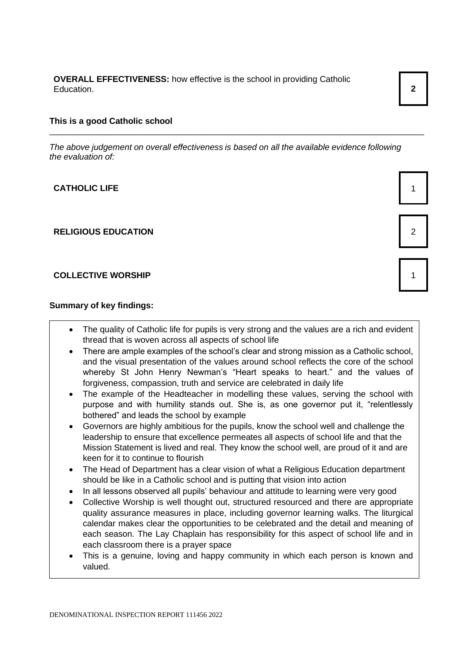**OVERALL EFFECTIVENESS:** how effective is the school in providing Catholic Education. **2**

#### **This is a good Catholic school**

*The above judgement on overall effectiveness is based on all the available evidence following the evaluation of:*

\_\_\_\_\_\_\_\_\_\_\_\_\_\_\_\_\_\_\_\_\_\_\_\_\_\_\_\_\_\_\_\_\_\_\_\_\_\_\_\_\_\_\_\_\_\_\_\_\_\_\_\_\_\_\_\_\_\_\_\_\_\_\_\_\_\_\_\_\_\_\_\_\_\_\_\_\_\_\_

#### **CATHOLIC LIFE** 1

#### **RELIGIOUS EDUCATION** 2

#### **COLLECTIVE WORSHIP** 1

#### **Summary of key findings:**

- The quality of Catholic life for pupils is very strong and the values are a rich and evident thread that is woven across all aspects of school life
- There are ample examples of the school's clear and strong mission as a Catholic school, and the visual presentation of the values around school reflects the core of the school whereby St John Henry Newman's "Heart speaks to heart." and the values of forgiveness, compassion, truth and service are celebrated in daily life
- The example of the Headteacher in modelling these values, serving the school with purpose and with humility stands out. She is, as one governor put it, "relentlessly bothered" and leads the school by example
- Governors are highly ambitious for the pupils, know the school well and challenge the leadership to ensure that excellence permeates all aspects of school life and that the Mission Statement is lived and real. They know the school well, are proud of it and are keen for it to continue to flourish
- The Head of Department has a clear vision of what a Religious Education department should be like in a Catholic school and is putting that vision into action
- In all lessons observed all pupils' behaviour and attitude to learning were very good
- Collective Worship is well thought out, structured resourced and there are appropriate quality assurance measures in place, including governor learning walks. The liturgical calendar makes clear the opportunities to be celebrated and the detail and meaning of each season. The Lay Chaplain has responsibility for this aspect of school life and in each classroom there is a prayer space
- This is a genuine, loving and happy community in which each person is known and valued.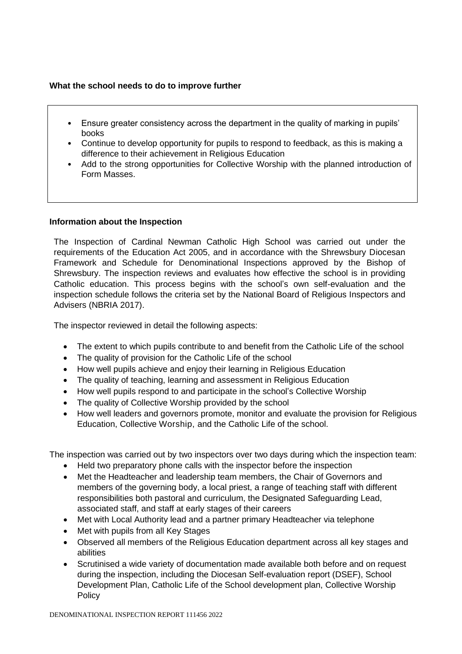# **What the school needs to do to improve further**

- Ensure greater consistency across the department in the quality of marking in pupils' books
- Continue to develop opportunity for pupils to respond to feedback, as this is making a difference to their achievement in Religious Education
- Add to the strong opportunities for Collective Worship with the planned introduction of Form Masses.

#### **Information about the Inspection**

The Inspection of Cardinal Newman Catholic High School was carried out under the requirements of the Education Act 2005, and in accordance with the Shrewsbury Diocesan Framework and Schedule for Denominational Inspections approved by the Bishop of Shrewsbury. The inspection reviews and evaluates how effective the school is in providing Catholic education. This process begins with the school's own self-evaluation and the inspection schedule follows the criteria set by the National Board of Religious Inspectors and Advisers (NBRIA 2017).

The inspector reviewed in detail the following aspects:

- The extent to which pupils contribute to and benefit from the Catholic Life of the school
- The quality of provision for the Catholic Life of the school
- How well pupils achieve and enjoy their learning in Religious Education
- The quality of teaching, learning and assessment in Religious Education
- How well pupils respond to and participate in the school's Collective Worship
- The quality of Collective Worship provided by the school
- How well leaders and governors promote, monitor and evaluate the provision for Religious Education, Collective Worship, and the Catholic Life of the school.

The inspection was carried out by two inspectors over two days during which the inspection team:

- Held two preparatory phone calls with the inspector before the inspection
- Met the Headteacher and leadership team members, the Chair of Governors and members of the governing body, a local priest, a range of teaching staff with different responsibilities both pastoral and curriculum, the Designated Safeguarding Lead, associated staff, and staff at early stages of their careers
- Met with Local Authority lead and a partner primary Headteacher via telephone
- Met with pupils from all Key Stages
- Observed all members of the Religious Education department across all key stages and abilities
- Scrutinised a wide variety of documentation made available both before and on request during the inspection, including the Diocesan Self-evaluation report (DSEF), School Development Plan, Catholic Life of the School development plan, Collective Worship Policy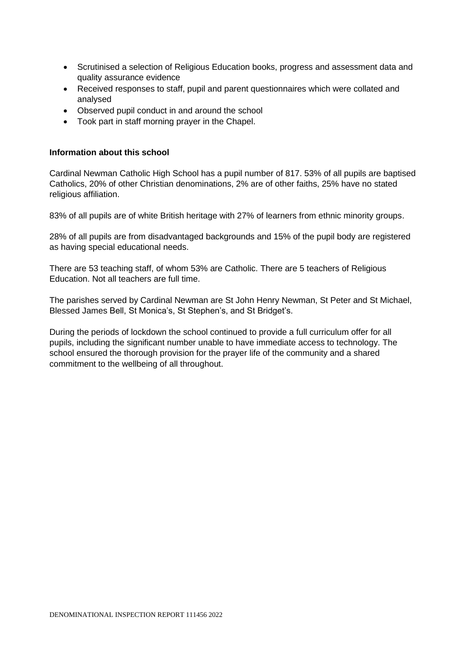- Scrutinised a selection of Religious Education books, progress and assessment data and quality assurance evidence
- Received responses to staff, pupil and parent questionnaires which were collated and analysed
- Observed pupil conduct in and around the school
- Took part in staff morning prayer in the Chapel.

#### **Information about this school**

Cardinal Newman Catholic High School has a pupil number of 817. 53% of all pupils are baptised Catholics, 20% of other Christian denominations, 2% are of other faiths, 25% have no stated religious affiliation.

83% of all pupils are of white British heritage with 27% of learners from ethnic minority groups.

28% of all pupils are from disadvantaged backgrounds and 15% of the pupil body are registered as having special educational needs.

There are 53 teaching staff, of whom 53% are Catholic. There are 5 teachers of Religious Education. Not all teachers are full time.

The parishes served by Cardinal Newman are St John Henry Newman, St Peter and St Michael, Blessed James Bell, St Monica's, St Stephen's, and St Bridget's.

During the periods of lockdown the school continued to provide a full curriculum offer for all pupils, including the significant number unable to have immediate access to technology. The school ensured the thorough provision for the prayer life of the community and a shared commitment to the wellbeing of all throughout.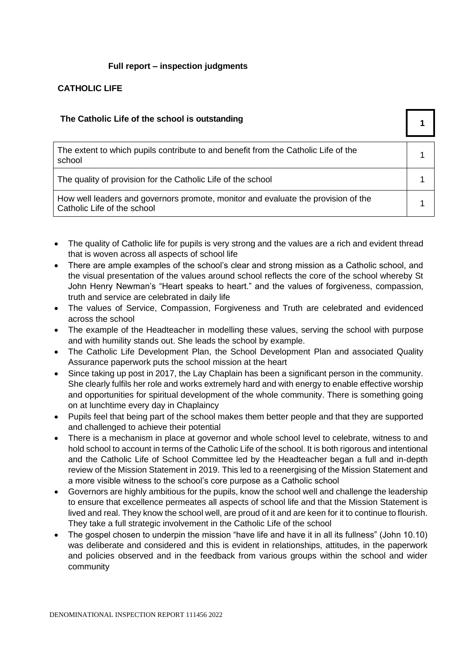# **Full report – inspection judgments**

# **CATHOLIC LIFE**

#### **The Catholic Life of the school is outstanding 1**

| The extent to which pupils contribute to and benefit from the Catholic Life of the<br>school                     |  |
|------------------------------------------------------------------------------------------------------------------|--|
| The quality of provision for the Catholic Life of the school                                                     |  |
| How well leaders and governors promote, monitor and evaluate the provision of the<br>Catholic Life of the school |  |

- The quality of Catholic life for pupils is very strong and the values are a rich and evident thread that is woven across all aspects of school life
- There are ample examples of the school's clear and strong mission as a Catholic school, and the visual presentation of the values around school reflects the core of the school whereby St John Henry Newman's "Heart speaks to heart." and the values of forgiveness, compassion, truth and service are celebrated in daily life
- The values of Service, Compassion, Forgiveness and Truth are celebrated and evidenced across the school
- The example of the Headteacher in modelling these values, serving the school with purpose and with humility stands out. She leads the school by example.
- The Catholic Life Development Plan, the School Development Plan and associated Quality Assurance paperwork puts the school mission at the heart
- Since taking up post in 2017, the Lay Chaplain has been a significant person in the community. She clearly fulfils her role and works extremely hard and with energy to enable effective worship and opportunities for spiritual development of the whole community. There is something going on at lunchtime every day in Chaplaincy
- Pupils feel that being part of the school makes them better people and that they are supported and challenged to achieve their potential
- There is a mechanism in place at governor and whole school level to celebrate, witness to and hold school to account in terms of the Catholic Life of the school. It is both rigorous and intentional and the Catholic Life of School Committee led by the Headteacher began a full and in-depth review of the Mission Statement in 2019. This led to a reenergising of the Mission Statement and a more visible witness to the school's core purpose as a Catholic school
- Governors are highly ambitious for the pupils, know the school well and challenge the leadership to ensure that excellence permeates all aspects of school life and that the Mission Statement is lived and real. They know the school well, are proud of it and are keen for it to continue to flourish. They take a full strategic involvement in the Catholic Life of the school
- The gospel chosen to underpin the mission "have life and have it in all its fullness" (John 10.10) was deliberate and considered and this is evident in relationships, attitudes, in the paperwork and policies observed and in the feedback from various groups within the school and wider community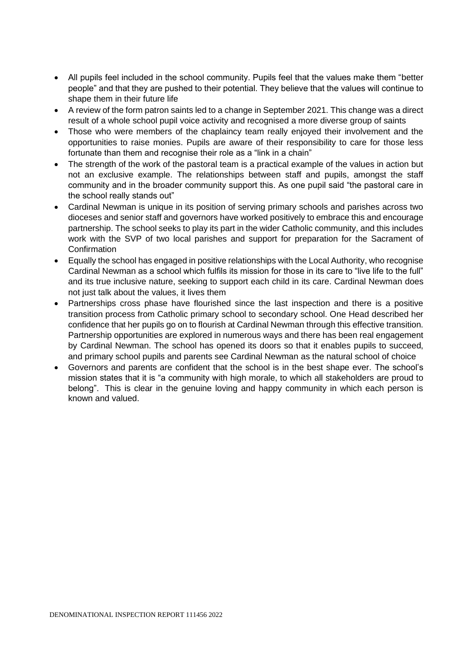- All pupils feel included in the school community. Pupils feel that the values make them "better people" and that they are pushed to their potential. They believe that the values will continue to shape them in their future life
- A review of the form patron saints led to a change in September 2021. This change was a direct result of a whole school pupil voice activity and recognised a more diverse group of saints
- Those who were members of the chaplaincy team really enjoyed their involvement and the opportunities to raise monies. Pupils are aware of their responsibility to care for those less fortunate than them and recognise their role as a "link in a chain"
- The strength of the work of the pastoral team is a practical example of the values in action but not an exclusive example. The relationships between staff and pupils, amongst the staff community and in the broader community support this. As one pupil said "the pastoral care in the school really stands out"
- Cardinal Newman is unique in its position of serving primary schools and parishes across two dioceses and senior staff and governors have worked positively to embrace this and encourage partnership. The school seeks to play its part in the wider Catholic community, and this includes work with the SVP of two local parishes and support for preparation for the Sacrament of **Confirmation**
- Equally the school has engaged in positive relationships with the Local Authority, who recognise Cardinal Newman as a school which fulfils its mission for those in its care to "live life to the full" and its true inclusive nature, seeking to support each child in its care. Cardinal Newman does not just talk about the values, it lives them
- Partnerships cross phase have flourished since the last inspection and there is a positive transition process from Catholic primary school to secondary school. One Head described her confidence that her pupils go on to flourish at Cardinal Newman through this effective transition. Partnership opportunities are explored in numerous ways and there has been real engagement by Cardinal Newman. The school has opened its doors so that it enables pupils to succeed, and primary school pupils and parents see Cardinal Newman as the natural school of choice
- Governors and parents are confident that the school is in the best shape ever. The school's mission states that it is "a community with high morale, to which all stakeholders are proud to belong". This is clear in the genuine loving and happy community in which each person is known and valued.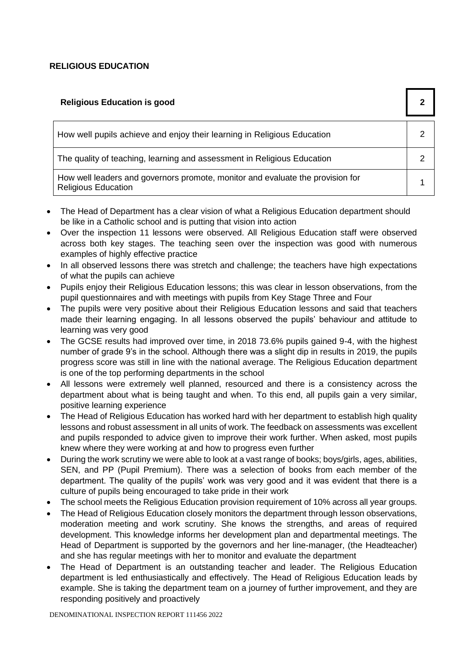# **RELIGIOUS EDUCATION**

| <b>Religious Education is good</b>                                                                           | 2 |
|--------------------------------------------------------------------------------------------------------------|---|
| How well pupils achieve and enjoy their learning in Religious Education                                      |   |
| The quality of teaching, learning and assessment in Religious Education                                      |   |
| How well leaders and governors promote, monitor and evaluate the provision for<br><b>Religious Education</b> |   |

- The Head of Department has a clear vision of what a Religious Education department should be like in a Catholic school and is putting that vision into action
- Over the inspection 11 lessons were observed. All Religious Education staff were observed across both key stages. The teaching seen over the inspection was good with numerous examples of highly effective practice
- In all observed lessons there was stretch and challenge; the teachers have high expectations of what the pupils can achieve
- Pupils enjoy their Religious Education lessons; this was clear in lesson observations, from the pupil questionnaires and with meetings with pupils from Key Stage Three and Four
- The pupils were very positive about their Religious Education lessons and said that teachers made their learning engaging. In all lessons observed the pupils' behaviour and attitude to learning was very good
- The GCSE results had improved over time, in 2018 73.6% pupils gained 9-4, with the highest number of grade 9's in the school. Although there was a slight dip in results in 2019, the pupils progress score was still in line with the national average. The Religious Education department is one of the top performing departments in the school
- All lessons were extremely well planned, resourced and there is a consistency across the department about what is being taught and when. To this end, all pupils gain a very similar, positive learning experience
- The Head of Religious Education has worked hard with her department to establish high quality lessons and robust assessment in all units of work. The feedback on assessments was excellent and pupils responded to advice given to improve their work further. When asked, most pupils knew where they were working at and how to progress even further
- During the work scrutiny we were able to look at a vast range of books; boys/girls, ages, abilities, SEN, and PP (Pupil Premium). There was a selection of books from each member of the department. The quality of the pupils' work was very good and it was evident that there is a culture of pupils being encouraged to take pride in their work
- The school meets the Religious Education provision requirement of 10% across all year groups.
- The Head of Religious Education closely monitors the department through lesson observations, moderation meeting and work scrutiny. She knows the strengths, and areas of required development. This knowledge informs her development plan and departmental meetings. The Head of Department is supported by the governors and her line-manager, (the Headteacher) and she has regular meetings with her to monitor and evaluate the department
- The Head of Department is an outstanding teacher and leader. The Religious Education department is led enthusiastically and effectively. The Head of Religious Education leads by example. She is taking the department team on a journey of further improvement, and they are responding positively and proactively

DENOMINATIONAL INSPECTION REPORT 111456 2022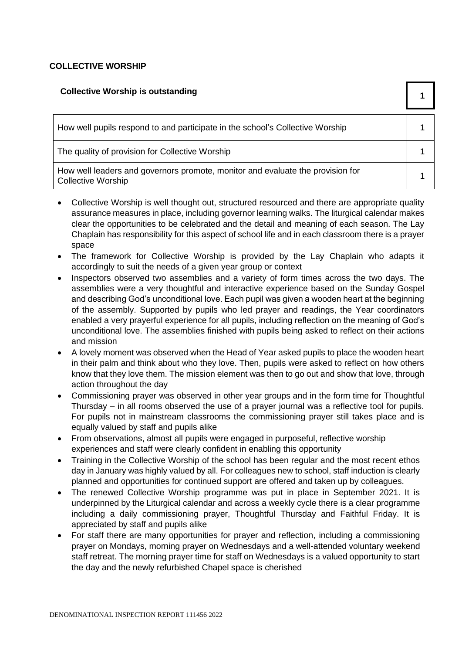# **COLLECTIVE WORSHIP**

| <b>Collective Worship is outstanding</b>                                                                    |  |
|-------------------------------------------------------------------------------------------------------------|--|
| How well pupils respond to and participate in the school's Collective Worship                               |  |
| The quality of provision for Collective Worship                                                             |  |
| How well leaders and governors promote, monitor and evaluate the provision for<br><b>Collective Worship</b> |  |

- Collective Worship is well thought out, structured resourced and there are appropriate quality assurance measures in place, including governor learning walks. The liturgical calendar makes clear the opportunities to be celebrated and the detail and meaning of each season. The Lay Chaplain has responsibility for this aspect of school life and in each classroom there is a prayer space
- The framework for Collective Worship is provided by the Lay Chaplain who adapts it accordingly to suit the needs of a given year group or context
- Inspectors observed two assemblies and a variety of form times across the two days. The assemblies were a very thoughtful and interactive experience based on the Sunday Gospel and describing God's unconditional love. Each pupil was given a wooden heart at the beginning of the assembly. Supported by pupils who led prayer and readings, the Year coordinators enabled a very prayerful experience for all pupils, including reflection on the meaning of God's unconditional love. The assemblies finished with pupils being asked to reflect on their actions and mission
- A lovely moment was observed when the Head of Year asked pupils to place the wooden heart in their palm and think about who they love. Then, pupils were asked to reflect on how others know that they love them. The mission element was then to go out and show that love, through action throughout the day
- Commissioning prayer was observed in other year groups and in the form time for Thoughtful Thursday – in all rooms observed the use of a prayer journal was a reflective tool for pupils. For pupils not in mainstream classrooms the commissioning prayer still takes place and is equally valued by staff and pupils alike
- From observations, almost all pupils were engaged in purposeful, reflective worship experiences and staff were clearly confident in enabling this opportunity
- Training in the Collective Worship of the school has been regular and the most recent ethos day in January was highly valued by all. For colleagues new to school, staff induction is clearly planned and opportunities for continued support are offered and taken up by colleagues.
- The renewed Collective Worship programme was put in place in September 2021. It is underpinned by the Liturgical calendar and across a weekly cycle there is a clear programme including a daily commissioning prayer, Thoughtful Thursday and Faithful Friday. It is appreciated by staff and pupils alike
- For staff there are many opportunities for prayer and reflection, including a commissioning prayer on Mondays, morning prayer on Wednesdays and a well-attended voluntary weekend staff retreat. The morning prayer time for staff on Wednesdays is a valued opportunity to start the day and the newly refurbished Chapel space is cherished